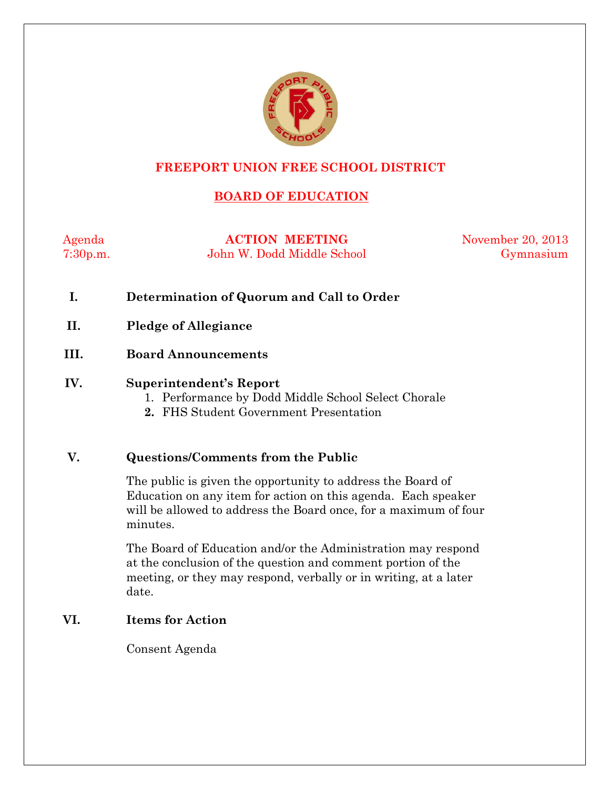

#### **FREEPORT UNION FREE SCHOOL DISTRICT**

# **BOARD OF EDUCATION**

Agenda **ACTION MEETING** November 20, 2013 7:30p.m. John W. Dodd Middle School Gymnasium

- **I. Determination of Quorum and Call to Order**
- **II. Pledge of Allegiance**
- **III. Board Announcements**

#### **IV. Superintendent's Report**

- 1. Performance by Dodd Middle School Select Chorale
- **2.** FHS Student Government Presentation

#### **V. Questions/Comments from the Public**

The public is given the opportunity to address the Board of Education on any item for action on this agenda. Each speaker will be allowed to address the Board once, for a maximum of four minutes.

The Board of Education and/or the Administration may respond at the conclusion of the question and comment portion of the meeting, or they may respond, verbally or in writing, at a later date.

#### **VI. Items for Action**

Consent Agenda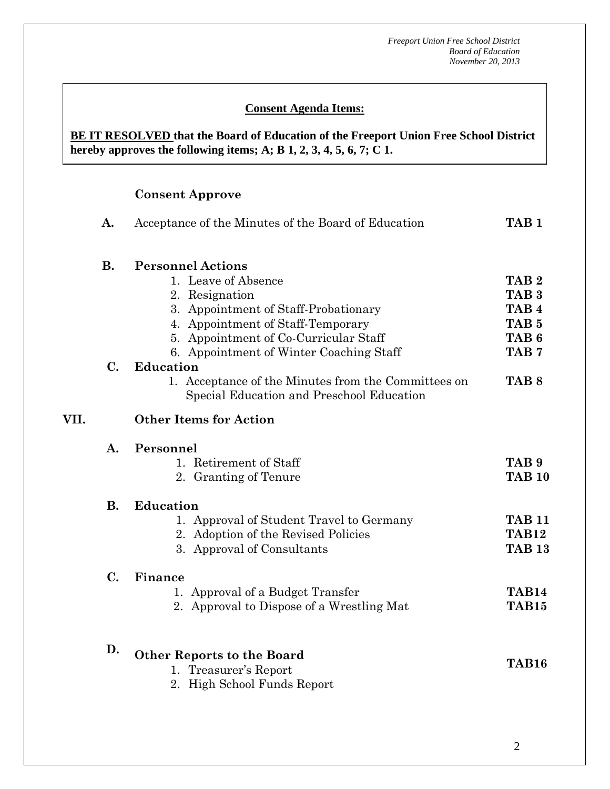#### **Consent Agenda Items:**

#### **BE IT RESOLVED that the Board of Education of the Freeport Union Free School District hereby approves the following items; A; B 1, 2, 3, 4, 5, 6, 7; C 1.**

#### **Consent Approve**

**VII.** 

| Α.                         | Acceptance of the Minutes of the Board of Education                                                                                                                                                                                             |                                                                                                                      |  |  |  |
|----------------------------|-------------------------------------------------------------------------------------------------------------------------------------------------------------------------------------------------------------------------------------------------|----------------------------------------------------------------------------------------------------------------------|--|--|--|
| <b>B.</b><br>$C_{\bullet}$ | <b>Personnel Actions</b><br>1. Leave of Absence<br>2. Resignation<br>3. Appointment of Staff-Probationary<br>4. Appointment of Staff-Temporary<br>5. Appointment of Co-Curricular Staff<br>6. Appointment of Winter Coaching Staff<br>Education | TAB <sub>2</sub><br>TAB <sub>3</sub><br>TAB <sub>4</sub><br>TAB <sub>5</sub><br>TAB <sub>6</sub><br>TAB <sub>7</sub> |  |  |  |
|                            | 1. Acceptance of the Minutes from the Committees on<br>Special Education and Preschool Education<br><b>Other Items for Action</b>                                                                                                               | TAB <sub>8</sub>                                                                                                     |  |  |  |
| A.                         | Personnel<br>1. Retirement of Staff<br>2. Granting of Tenure                                                                                                                                                                                    | TAB <sub>9</sub><br><b>TAB 10</b>                                                                                    |  |  |  |
| <b>B.</b>                  | <b>Education</b><br>1. Approval of Student Travel to Germany<br>2. Adoption of the Revised Policies<br>3. Approval of Consultants                                                                                                               | <b>TAB 11</b><br><b>TAB12</b><br><b>TAB 13</b>                                                                       |  |  |  |
| $\mathbf{C}$ .             | Finance<br>1. Approval of a Budget Transfer<br>2. Approval to Dispose of a Wrestling Mat                                                                                                                                                        | TAB14<br>TAB <sub>15</sub>                                                                                           |  |  |  |
| D.                         | <b>Other Reports to the Board</b><br>1. Treasurer's Report<br>2. High School Funds Report                                                                                                                                                       | TAB16                                                                                                                |  |  |  |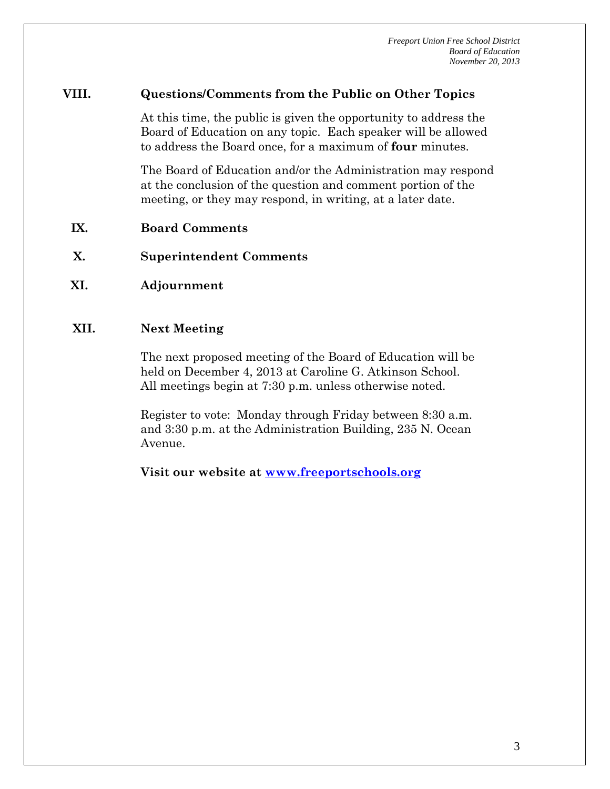#### **VIII. Questions/Comments from the Public on Other Topics**

At this time, the public is given the opportunity to address the Board of Education on any topic. Each speaker will be allowed to address the Board once, for a maximum of **four** minutes.

The Board of Education and/or the Administration may respond at the conclusion of the question and comment portion of the meeting, or they may respond, in writing, at a later date.

- **IX. Board Comments**
- **X. Superintendent Comments**
- **XI. Adjournment**

#### **XII. Next Meeting**

The next proposed meeting of the Board of Education will be held on December 4, 2013 at Caroline G. Atkinson School. All meetings begin at 7:30 p.m. unless otherwise noted.

Register to vote: Monday through Friday between 8:30 a.m. and 3:30 p.m. at the Administration Building, 235 N. Ocean Avenue.

**Visit our website at [www.freeportschools.org](http://www.freeportschools.org/)**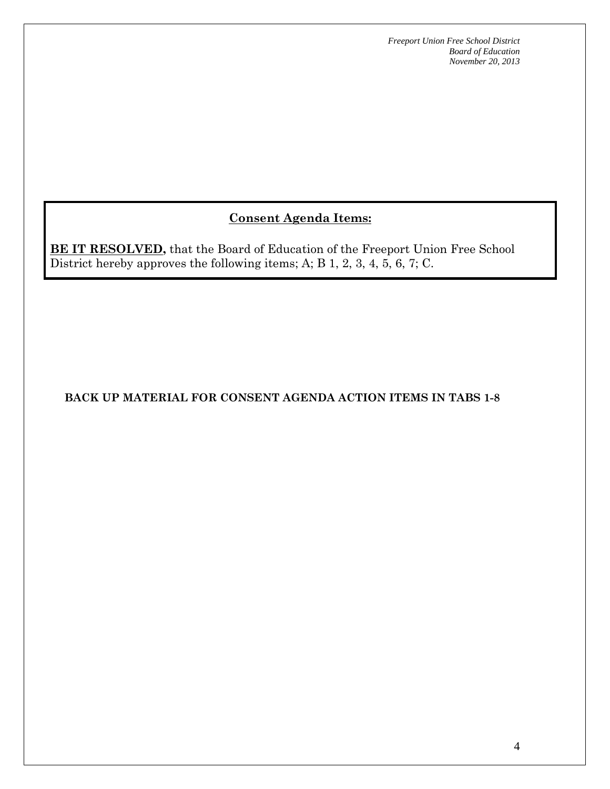# **Consent Agenda Items:**

**BE IT RESOLVED,** that the Board of Education of the Freeport Union Free School District hereby approves the following items; A; B 1, 2, 3, 4, 5, 6, 7; C.

# **BACK UP MATERIAL FOR CONSENT AGENDA ACTION ITEMS IN TABS 1-8**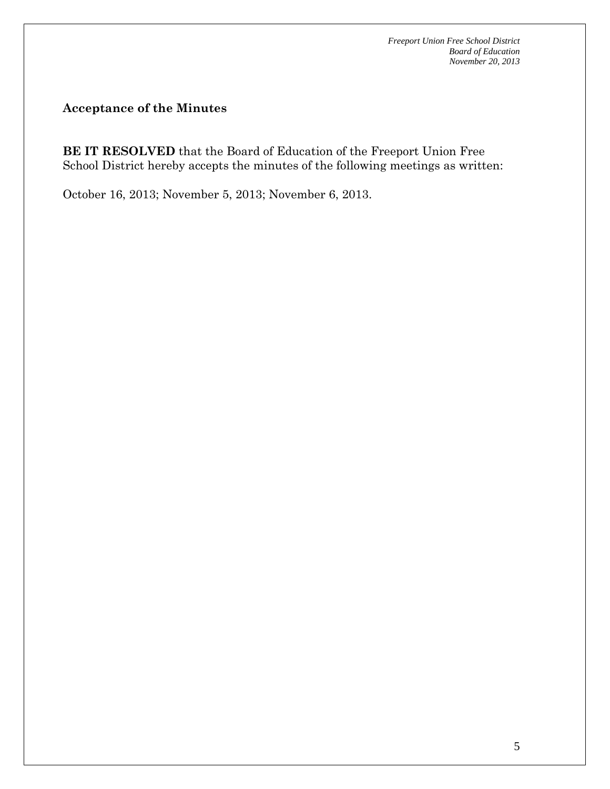**Acceptance of the Minutes**

**BE IT RESOLVED** that the Board of Education of the Freeport Union Free School District hereby accepts the minutes of the following meetings as written:

October 16, 2013; November 5, 2013; November 6, 2013.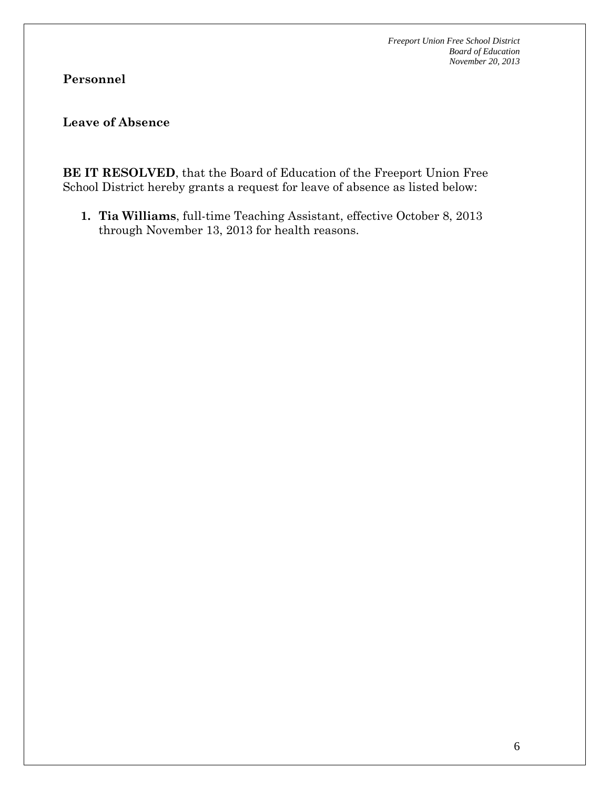# **Personnel**

### **Leave of Absence**

**BE IT RESOLVED**, that the Board of Education of the Freeport Union Free School District hereby grants a request for leave of absence as listed below:

**1. Tia Williams**, full-time Teaching Assistant, effective October 8, 2013 through November 13, 2013 for health reasons.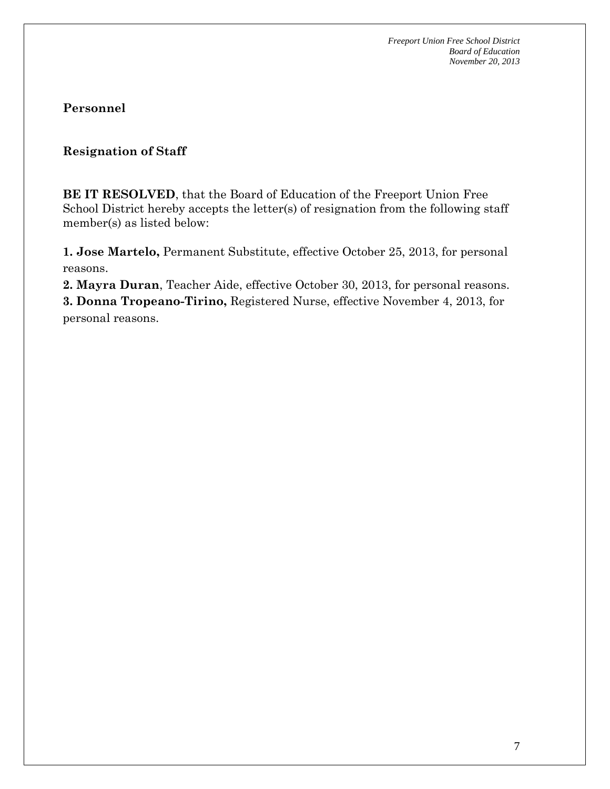#### **Resignation of Staff**

**BE IT RESOLVED**, that the Board of Education of the Freeport Union Free School District hereby accepts the letter(s) of resignation from the following staff member(s) as listed below:

**1. Jose Martelo,** Permanent Substitute, effective October 25, 2013, for personal reasons.

**2. Mayra Duran**, Teacher Aide, effective October 30, 2013, for personal reasons.

**3. Donna Tropeano-Tirino,** Registered Nurse, effective November 4, 2013, for personal reasons.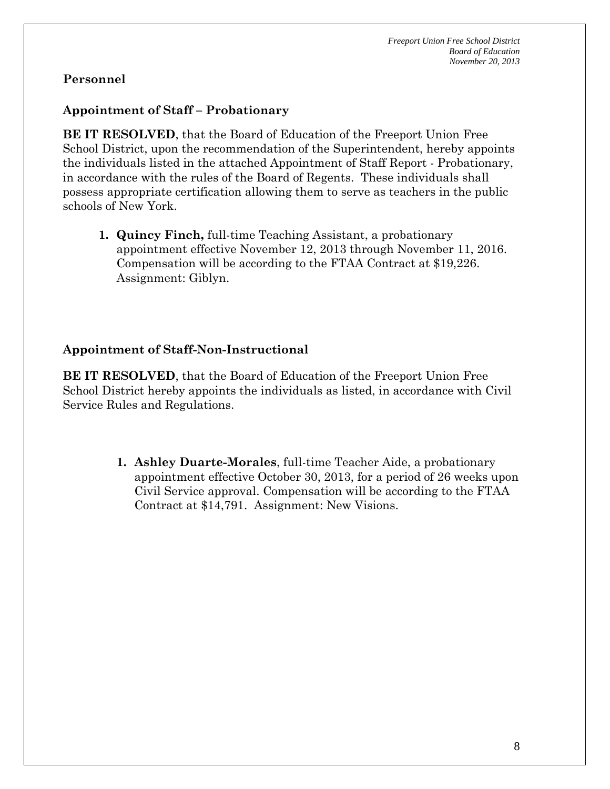# **Appointment of Staff – Probationary**

**BE IT RESOLVED**, that the Board of Education of the Freeport Union Free School District, upon the recommendation of the Superintendent, hereby appoints the individuals listed in the attached Appointment of Staff Report - Probationary, in accordance with the rules of the Board of Regents. These individuals shall possess appropriate certification allowing them to serve as teachers in the public schools of New York.

**1. Quincy Finch,** full-time Teaching Assistant, a probationary appointment effective November 12, 2013 through November 11, 2016. Compensation will be according to the FTAA Contract at \$19,226. Assignment: Giblyn.

#### **Appointment of Staff-Non-Instructional**

**BE IT RESOLVED**, that the Board of Education of the Freeport Union Free School District hereby appoints the individuals as listed, in accordance with Civil Service Rules and Regulations.

> **1. Ashley Duarte-Morales**, full-time Teacher Aide, a probationary appointment effective October 30, 2013, for a period of 26 weeks upon Civil Service approval. Compensation will be according to the FTAA Contract at \$14,791. Assignment: New Visions.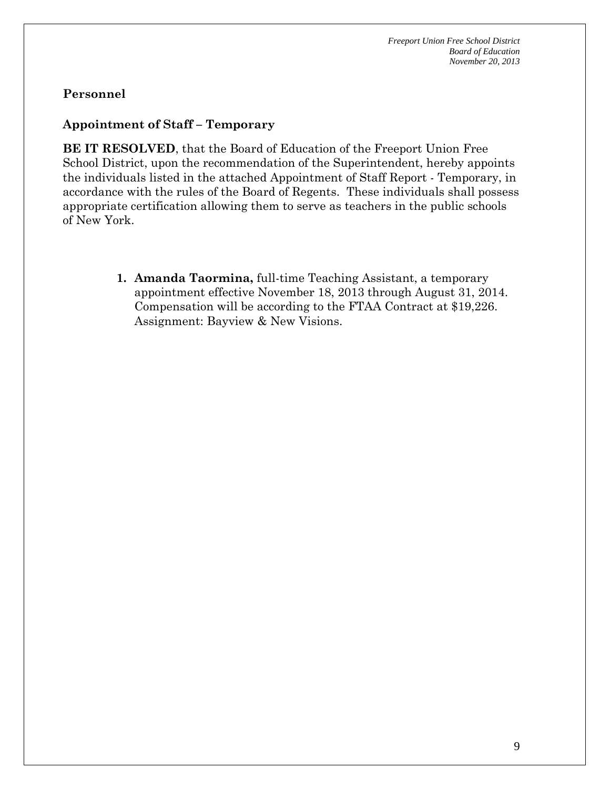#### **Appointment of Staff – Temporary**

**BE IT RESOLVED**, that the Board of Education of the Freeport Union Free School District, upon the recommendation of the Superintendent, hereby appoints the individuals listed in the attached Appointment of Staff Report - Temporary, in accordance with the rules of the Board of Regents. These individuals shall possess appropriate certification allowing them to serve as teachers in the public schools of New York.

> **1. Amanda Taormina,** full-time Teaching Assistant, a temporary appointment effective November 18, 2013 through August 31, 2014. Compensation will be according to the FTAA Contract at \$19,226. Assignment: Bayview & New Visions.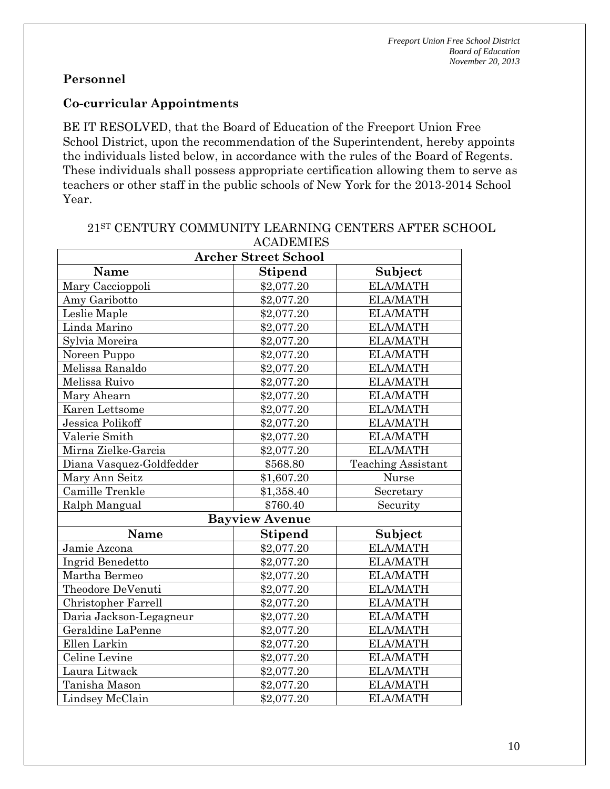#### **Co-curricular Appointments**

BE IT RESOLVED, that the Board of Education of the Freeport Union Free School District, upon the recommendation of the Superintendent, hereby appoints the individuals listed below, in accordance with the rules of the Board of Regents. These individuals shall possess appropriate certification allowing them to serve as teachers or other staff in the public schools of New York for the 2013-2014 School Year.

| $1101$ ID LINITIN           |                           |                           |  |  |
|-----------------------------|---------------------------|---------------------------|--|--|
| <b>Archer Street School</b> |                           |                           |  |  |
| Name                        | <b>Stipend</b>            | Subject                   |  |  |
| Mary Caccioppoli            | \$2,077.20                | <b>ELA/MATH</b>           |  |  |
| Amy Garibotto               | \$2,077.20                | <b>ELA/MATH</b>           |  |  |
| Leslie Maple                | \$2,077.20                | <b>ELA/MATH</b>           |  |  |
| Linda Marino                | \$2,077.20                | <b>ELA/MATH</b>           |  |  |
| Sylvia Moreira              | \$2,077.20                | <b>ELA/MATH</b>           |  |  |
| Noreen Puppo                | \$2,077.20                | <b>ELA/MATH</b>           |  |  |
| Melissa Ranaldo             | \$2,077.20                | <b>ELA/MATH</b>           |  |  |
| Melissa Ruivo               | \$2,077.20                | <b>ELA/MATH</b>           |  |  |
| Mary Ahearn                 | \$2,077.20                | <b>ELA/MATH</b>           |  |  |
| Karen Lettsome              | \$2,077.20                | <b>ELA/MATH</b>           |  |  |
| Jessica Polikoff            | \$2,077.20                | <b>ELA/MATH</b>           |  |  |
| Valerie Smith               | \$2,077.20                | <b>ELA/MATH</b>           |  |  |
| Mirna Zielke-Garcia         | \$2,077.20                | <b>ELA/MATH</b>           |  |  |
| Diana Vasquez-Goldfedder    | \$568.80                  | <b>Teaching Assistant</b> |  |  |
| Mary Ann Seitz              | \$1,607.20                | Nurse                     |  |  |
| Camille Trenkle             | \$1,358.40                | Secretary                 |  |  |
| Ralph Mangual               | \$760.40                  | Security                  |  |  |
|                             | <b>Bayview Avenue</b>     |                           |  |  |
| Name                        | <b>Stipend</b><br>Subject |                           |  |  |
| Jamie Azcona                | \$2,077.20                | <b>ELA/MATH</b>           |  |  |
| Ingrid Benedetto            | \$2,077.20                | <b>ELA/MATH</b>           |  |  |
| Martha Bermeo               | \$2,077.20                | <b>ELA/MATH</b>           |  |  |
| Theodore DeVenuti           | \$2,077.20                | <b>ELA/MATH</b>           |  |  |
| Christopher Farrell         | \$2,077.20                | <b>ELA/MATH</b>           |  |  |
| Daria Jackson-Legagneur     | \$2,077.20                | <b>ELA/MATH</b>           |  |  |
| Geraldine LaPenne           | \$2,077.20                | <b>ELA/MATH</b>           |  |  |
| Ellen Larkin                | \$2,077.20                | <b>ELA/MATH</b>           |  |  |
| Celine Levine               | \$2,077.20                | <b>ELA/MATH</b>           |  |  |
| Laura Litwack               | \$2,077.20                | <b>ELA/MATH</b>           |  |  |
| Tanisha Mason               | \$2,077.20                | <b>ELA/MATH</b>           |  |  |
| Lindsey McClain             | \$2,077.20                | <b>ELA/MATH</b>           |  |  |

#### 21ST CENTURY COMMUNITY LEARNING CENTERS AFTER SCHOOL **ACADEMIES**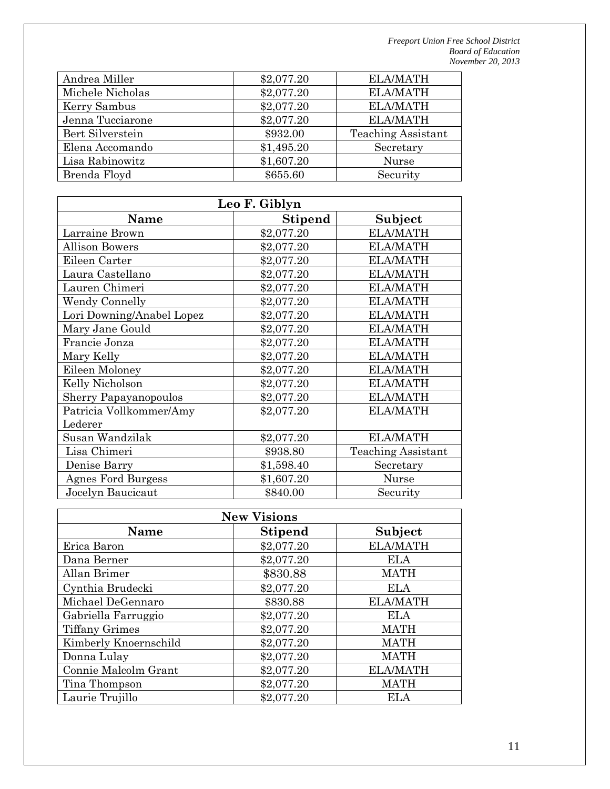| Andrea Miller    | \$2,077.20 | <b>ELA/MATH</b>           |
|------------------|------------|---------------------------|
| Michele Nicholas | \$2,077.20 | <b>ELA/MATH</b>           |
| Kerry Sambus     | \$2,077.20 | <b>ELA/MATH</b>           |
| Jenna Tucciarone | \$2,077.20 | <b>ELA/MATH</b>           |
| Bert Silverstein | \$932.00   | <b>Teaching Assistant</b> |
| Elena Accomando  | \$1,495.20 | Secretary                 |
| Lisa Rabinowitz  | \$1,607.20 | <b>Nurse</b>              |
| Brenda Floyd     | \$655.60   | Security                  |
|                  |            |                           |

| Leo F. Giblyn                |                |                           |  |  |
|------------------------------|----------------|---------------------------|--|--|
| <b>Name</b>                  | <b>Stipend</b> | Subject                   |  |  |
| Larraine Brown               | \$2,077.20     | <b>ELA/MATH</b>           |  |  |
| <b>Allison Bowers</b>        | \$2,077.20     | <b>ELA/MATH</b>           |  |  |
| Eileen Carter                | \$2,077.20     | <b>ELA/MATH</b>           |  |  |
| Laura Castellano             | \$2,077.20     | <b>ELA/MATH</b>           |  |  |
| Lauren Chimeri               | \$2,077.20     | <b>ELA/MATH</b>           |  |  |
| <b>Wendy Connelly</b>        | \$2,077.20     | <b>ELA/MATH</b>           |  |  |
| Lori Downing/Anabel Lopez    | \$2,077.20     | <b>ELA/MATH</b>           |  |  |
| Mary Jane Gould              | \$2,077.20     | <b>ELA/MATH</b>           |  |  |
| Francie Jonza                | \$2,077.20     | <b>ELA/MATH</b>           |  |  |
| Mary Kelly                   | \$2,077.20     | <b>ELA/MATH</b>           |  |  |
| Eileen Moloney               | \$2,077.20     | <b>ELA/MATH</b>           |  |  |
| Kelly Nicholson              | \$2,077.20     | <b>ELA/MATH</b>           |  |  |
| <b>Sherry Papayanopoulos</b> | \$2,077.20     | <b>ELA/MATH</b>           |  |  |
| Patricia Vollkommer/Amy      | \$2,077.20     | <b>ELA/MATH</b>           |  |  |
| Lederer                      |                |                           |  |  |
| Susan Wandzilak              | \$2,077.20     | <b>ELA/MATH</b>           |  |  |
| Lisa Chimeri                 | \$938.80       | <b>Teaching Assistant</b> |  |  |
| Denise Barry                 | \$1,598.40     | Secretary                 |  |  |
| <b>Agnes Ford Burgess</b>    | \$1,607.20     | Nurse                     |  |  |
| Jocelyn Baucicaut            | \$840.00       | Security                  |  |  |

| <b>New Visions</b>                |            |                 |  |  |  |
|-----------------------------------|------------|-----------------|--|--|--|
| Subject<br><b>Stipend</b><br>Name |            |                 |  |  |  |
| Erica Baron                       | \$2,077.20 | <b>ELA/MATH</b> |  |  |  |
| Dana Berner                       | \$2,077.20 | <b>ELA</b>      |  |  |  |
| Allan Brimer                      | \$830.88   | <b>MATH</b>     |  |  |  |
| Cynthia Brudecki                  | \$2,077.20 | <b>ELA</b>      |  |  |  |
| Michael DeGennaro                 | \$830.88   | <b>ELA/MATH</b> |  |  |  |
| Gabriella Farruggio               | \$2,077.20 | ELA             |  |  |  |
| <b>Tiffany Grimes</b>             | \$2,077.20 | <b>MATH</b>     |  |  |  |
| Kimberly Knoernschild             | \$2,077.20 | <b>MATH</b>     |  |  |  |
| Donna Lulay                       | \$2,077.20 | <b>MATH</b>     |  |  |  |
| Connie Malcolm Grant              | \$2,077.20 | <b>ELA/MATH</b> |  |  |  |
| Tina Thompson                     | \$2,077.20 | <b>MATH</b>     |  |  |  |
| Laurie Trujillo                   | \$2,077.20 | ELA             |  |  |  |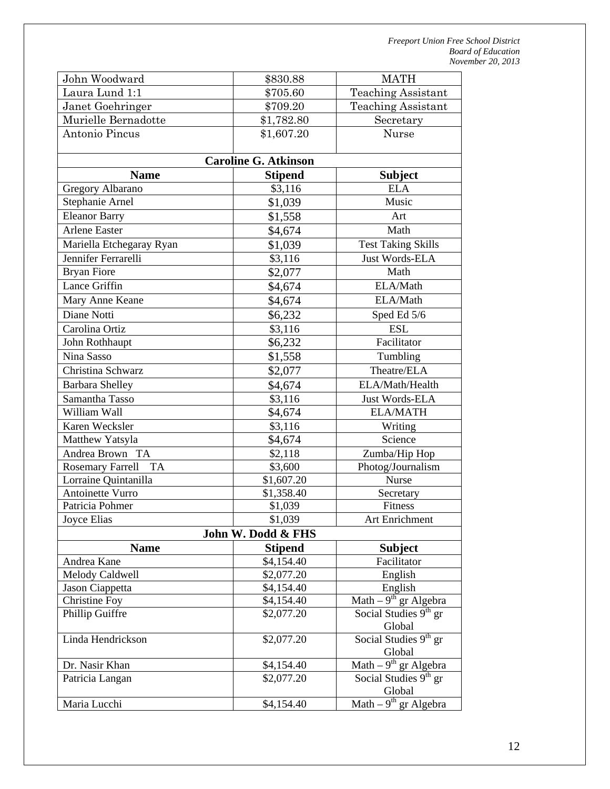| John Woodward                        | \$830.88                    | <b>MATH</b>                                         |
|--------------------------------------|-----------------------------|-----------------------------------------------------|
| Laura Lund 1:1                       | \$705.60                    | <b>Teaching Assistant</b>                           |
| Janet Goehringer                     | \$709.20                    | <b>Teaching Assistant</b>                           |
| Murielle Bernadotte                  | \$1,782.80                  | Secretary                                           |
| Antonio Pincus                       | \$1,607.20                  | Nurse                                               |
|                                      |                             |                                                     |
|                                      | <b>Caroline G. Atkinson</b> |                                                     |
| <b>Name</b>                          | <b>Stipend</b>              | <b>Subject</b>                                      |
| Gregory Albarano                     | \$3,116                     | <b>ELA</b>                                          |
| Stephanie Arnel                      | \$1,039                     | Music                                               |
| <b>Eleanor Barry</b>                 | \$1,558                     | Art                                                 |
| <b>Arlene Easter</b>                 | \$4,674                     | Math                                                |
| Mariella Etchegaray Ryan             | \$1,039                     | Test Taking Skills                                  |
| Jennifer Ferrarelli                  | \$3,116                     | <b>Just Words-ELA</b>                               |
| <b>Bryan Fiore</b>                   | \$2,077                     | Math                                                |
| Lance Griffin                        | \$4,674                     | ELA/Math                                            |
| Mary Anne Keane                      | \$4,674                     | ELA/Math                                            |
| Diane Notti                          | \$6,232                     | Sped Ed 5/6                                         |
| Carolina Ortiz                       | \$3,116                     | <b>ESL</b>                                          |
| John Rothhaupt                       | \$6,232                     | Facilitator                                         |
| Nina Sasso                           | \$1,558                     | Tumbling                                            |
| Christina Schwarz                    | \$2,077                     | Theatre/ELA                                         |
| <b>Barbara Shelley</b>               | \$4,674                     | ELA/Math/Health                                     |
| Samantha Tasso                       | \$3,116                     | Just Words-ELA                                      |
| William Wall                         | \$4,674                     | <b>ELA/MATH</b>                                     |
| Karen Wecksler                       | \$3,116                     | Writing                                             |
| Matthew Yatsyla                      | \$4,674                     | Science                                             |
| Andrea Brown TA                      | \$2,118                     | Zumba/Hip Hop                                       |
| <b>Rosemary Farrell</b><br><b>TA</b> | \$3,600                     | Photog/Journalism                                   |
| Lorraine Quintanilla                 | \$1,607.20                  | Nurse                                               |
| Antoinette Vurro                     | \$1,358.40                  | Secretary                                           |
| Patricia Pohmer                      | \$1,039                     | Fitness                                             |
| Joyce Elias                          | \$1,039                     | Art Enrichment                                      |
|                                      | John W. Dodd & FHS          |                                                     |
| <b>Name</b>                          | <b>Stipend</b>              | <b>Subject</b>                                      |
| Andrea Kane                          | \$4,154.40                  | Facilitator                                         |
| Melody Caldwell                      | \$2,077.20                  | English                                             |
| Jason Ciappetta                      | \$4,154.40                  | English                                             |
| Christine Foy                        | \$4,154.40                  | Math $-9$ <sup>th</sup> gr Algebra                  |
| Phillip Guiffre                      | \$2,077.20                  | Social Studies $9th$ gr                             |
|                                      |                             | Global                                              |
| Linda Hendrickson                    | \$2,077.20                  | Social Studies 9 <sup>th</sup> gr<br>Global         |
| Dr. Nasir Khan                       | \$4,154.40                  | $\overline{\text{Math} - 9^{\text{th}}}$ gr Algebra |
| Patricia Langan                      | \$2,077.20                  | Social Studies 9 <sup>th</sup> gr                   |
|                                      |                             | Global                                              |
| Maria Lucchi                         | \$4,154.40                  | Math $-9$ <sup>th</sup> gr Algebra                  |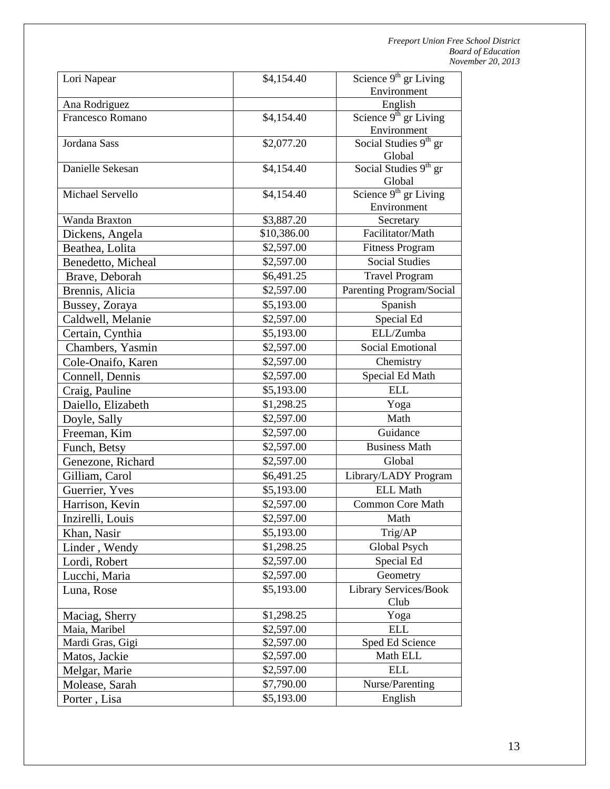| Lori Napear                         | \$4,154.40  | Science $9th$ gr Living                     |
|-------------------------------------|-------------|---------------------------------------------|
|                                     |             | Environment                                 |
| Ana Rodriguez                       |             | English                                     |
| Francesco Romano                    | \$4,154.40  | Science 9 <sup>th</sup> gr Living           |
|                                     |             | Environment                                 |
| Jordana Sass                        | \$2,077.20  | Social Studies 9 <sup>th</sup> gr           |
|                                     |             | Global                                      |
| Danielle Sekesan                    | \$4,154.40  | Social Studies $9th$ gr                     |
| Michael Servello                    |             | Global<br>Science 9 <sup>th</sup> gr Living |
|                                     | \$4,154.40  | Environment                                 |
| Wanda Braxton                       | \$3,887.20  | Secretary                                   |
| Dickens, Angela                     | \$10,386.00 | Facilitator/Math                            |
| Beathea, Lolita                     | \$2,597.00  | <b>Fitness Program</b>                      |
| Benedetto, Micheal                  | \$2,597.00  | <b>Social Studies</b>                       |
| Brave, Deborah                      | \$6,491.25  | <b>Travel Program</b>                       |
| Brennis, Alicia                     | \$2,597.00  | Parenting Program/Social                    |
|                                     | \$5,193.00  | Spanish                                     |
| Bussey, Zoraya<br>Caldwell, Melanie | \$2,597.00  | Special Ed                                  |
|                                     | \$5,193.00  | ELL/Zumba                                   |
| Certain, Cynthia                    |             | <b>Social Emotional</b>                     |
| Chambers, Yasmin                    | \$2,597.00  |                                             |
| Cole-Onaifo, Karen                  | \$2,597.00  | Chemistry                                   |
| Connell, Dennis                     | \$2,597.00  | Special Ed Math                             |
| Craig, Pauline                      | \$5,193.00  | <b>ELL</b>                                  |
| Daiello, Elizabeth                  | \$1,298.25  | Yoga                                        |
| Doyle, Sally                        | \$2,597.00  | Math                                        |
| Freeman, Kim                        | \$2,597.00  | Guidance                                    |
| Funch, Betsy                        | \$2,597.00  | <b>Business Math</b>                        |
| Genezone, Richard                   | \$2,597.00  | Global                                      |
| Gilliam, Carol                      | \$6,491.25  | Library/LADY Program                        |
| Guerrier, Yves                      | \$5,193.00  | <b>ELL Math</b>                             |
| Harrison, Kevin                     | \$2,597.00  | <b>Common Core Math</b>                     |
| Inzirelli, Louis                    | \$2,597.00  | Math                                        |
| Khan, Nasir                         | \$5,193.00  | Trig/AP                                     |
| Linder, Wendy                       | \$1,298.25  | Global Psych                                |
| Lordi, Robert                       | \$2,597.00  | Special Ed                                  |
| Lucchi, Maria                       | \$2,597.00  | Geometry                                    |
| Luna, Rose                          | \$5,193.00  | Library Services/Book<br>Club               |
| Maciag, Sherry                      | \$1,298.25  | Yoga                                        |
| Maia, Maribel                       | \$2,597.00  | <b>ELL</b>                                  |
| Mardi Gras, Gigi                    | \$2,597.00  | Sped Ed Science                             |
| Matos, Jackie                       | \$2,597.00  | Math ELL                                    |
| Melgar, Marie                       | \$2,597.00  | <b>ELL</b>                                  |
| Molease, Sarah                      | \$7,790.00  | Nurse/Parenting                             |
| Porter, Lisa                        | \$5,193.00  | English                                     |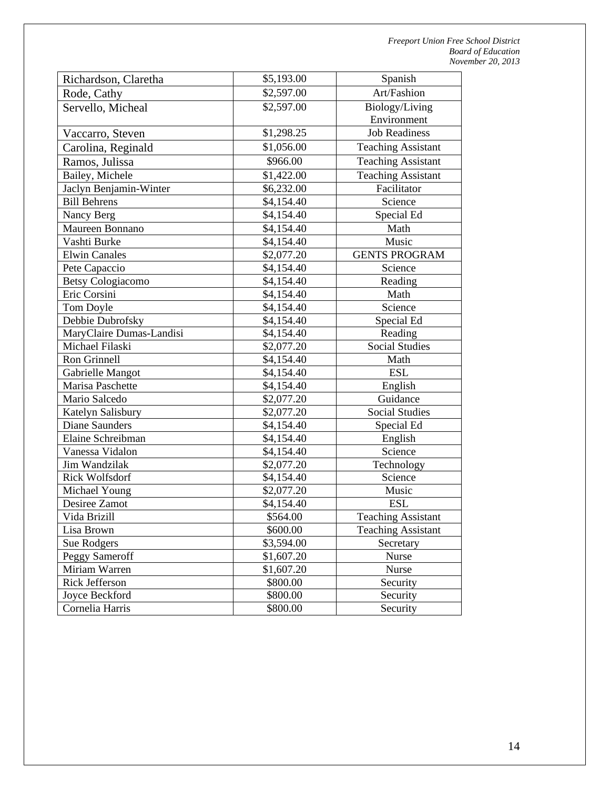| Richardson, Claretha     | \$5,193.00 | Spanish                   |
|--------------------------|------------|---------------------------|
| Rode, Cathy              | \$2,597.00 | Art/Fashion               |
| Servello, Micheal        | \$2,597.00 | Biology/Living            |
|                          |            | Environment               |
| Vaccarro, Steven         | \$1,298.25 | <b>Job Readiness</b>      |
| Carolina, Reginald       | \$1,056.00 | <b>Teaching Assistant</b> |
| Ramos, Julissa           | \$966.00   | <b>Teaching Assistant</b> |
| Bailey, Michele          | \$1,422.00 | <b>Teaching Assistant</b> |
| Jaclyn Benjamin-Winter   | \$6,232.00 | Facilitator               |
| <b>Bill Behrens</b>      | \$4,154.40 | Science                   |
| Nancy Berg               | \$4,154.40 | Special Ed                |
| Maureen Bonnano          | \$4,154.40 | Math                      |
| Vashti Burke             | \$4,154.40 | Music                     |
| <b>Elwin Canales</b>     | \$2,077.20 | <b>GENTS PROGRAM</b>      |
| Pete Capaccio            | \$4,154.40 | Science                   |
| <b>Betsy Cologiacomo</b> | \$4,154.40 | Reading                   |
| Eric Corsini             | \$4,154.40 | Math                      |
| Tom Doyle                | \$4,154.40 | Science                   |
| Debbie Dubrofsky         | \$4,154.40 | Special Ed                |
| MaryClaire Dumas-Landisi | \$4,154.40 | Reading                   |
| Michael Filaski          | \$2,077.20 | <b>Social Studies</b>     |
| Ron Grinnell             | \$4,154.40 | Math                      |
| Gabrielle Mangot         | \$4,154.40 | <b>ESL</b>                |
| Marisa Paschette         | \$4,154.40 | English                   |
| Mario Salcedo            | \$2,077.20 | Guidance                  |
| Katelyn Salisbury        | \$2,077.20 | <b>Social Studies</b>     |
| <b>Diane Saunders</b>    | \$4,154.40 | Special Ed                |
| Elaine Schreibman        | \$4,154.40 | English                   |
| Vanessa Vidalon          | \$4,154.40 | Science                   |
| Jim Wandzilak            | \$2,077.20 | Technology                |
| Rick Wolfsdorf           | \$4,154.40 | Science                   |
| Michael Young            | \$2,077.20 | Music                     |
| Desiree Zamot            | \$4,154.40 | <b>ESL</b>                |
| Vida Brizill             | \$564.00   | Teaching Assistant        |
| Lisa Brown               | \$600.00   | <b>Teaching Assistant</b> |
| <b>Sue Rodgers</b>       | \$3,594.00 | Secretary                 |
| Peggy Sameroff           | \$1,607.20 | Nurse                     |
| Miriam Warren            | \$1,607.20 | Nurse                     |
| Rick Jefferson           | \$800.00   | Security                  |
| Joyce Beckford           | \$800.00   | Security                  |
| Cornelia Harris          | \$800.00   | Security                  |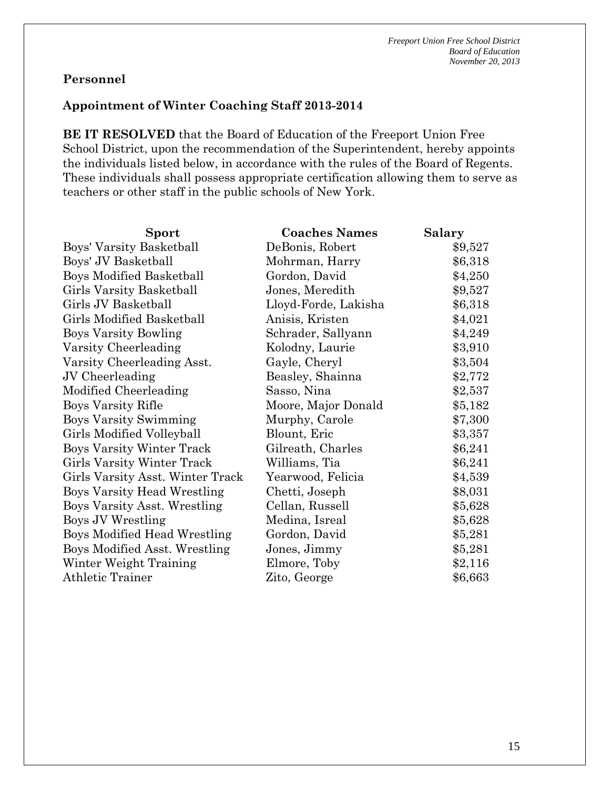#### **Appointment of Winter Coaching Staff 2013-2014**

**BE IT RESOLVED** that the Board of Education of the Freeport Union Free School District, upon the recommendation of the Superintendent, hereby appoints the individuals listed below, in accordance with the rules of the Board of Regents. These individuals shall possess appropriate certification allowing them to serve as teachers or other staff in the public schools of New York.

| Sport                              | <b>Coaches Names</b> | <b>Salary</b> |
|------------------------------------|----------------------|---------------|
| Boys' Varsity Basketball           | DeBonis, Robert      | \$9,527       |
| Boys' JV Basketball                | Mohrman, Harry       | \$6,318       |
| <b>Boys Modified Basketball</b>    | Gordon, David        | \$4,250       |
| Girls Varsity Basketball           | Jones, Meredith      | \$9,527       |
| Girls JV Basketball                | Lloyd-Forde, Lakisha | \$6,318       |
| Girls Modified Basketball          | Anisis, Kristen      | \$4,021       |
| <b>Boys Varsity Bowling</b>        | Schrader, Sallyann   | \$4,249       |
| Varsity Cheerleading               | Kolodny, Laurie      | \$3,910       |
| Varsity Cheerleading Asst.         | Gayle, Cheryl        | \$3,504       |
| JV Cheerleading                    | Beasley, Shainna     | \$2,772       |
| Modified Cheerleading              | Sasso, Nina          | \$2,537       |
| Boys Varsity Rifle                 | Moore, Major Donald  | \$5,182       |
| <b>Boys Varsity Swimming</b>       | Murphy, Carole       | \$7,300       |
| Girls Modified Volleyball          | Blount, Eric         | \$3,357       |
| <b>Boys Varsity Winter Track</b>   | Gilreath, Charles    | \$6,241       |
| Girls Varsity Winter Track         | Williams, Tia        | \$6,241       |
| Girls Varsity Asst. Winter Track   | Yearwood, Felicia    | \$4,539       |
| <b>Boys Varsity Head Wrestling</b> | Chetti, Joseph       | \$8,031       |
| Boys Varsity Asst. Wrestling       | Cellan, Russell      | \$5,628       |
| Boys JV Wrestling                  | Medina, Isreal       | \$5,628       |
| Boys Modified Head Wrestling       | Gordon, David        | \$5,281       |
| Boys Modified Asst. Wrestling      | Jones, Jimmy         | \$5,281       |
| Winter Weight Training             | Elmore, Toby         | \$2,116       |
| Athletic Trainer                   | Zito, George         | \$6,663       |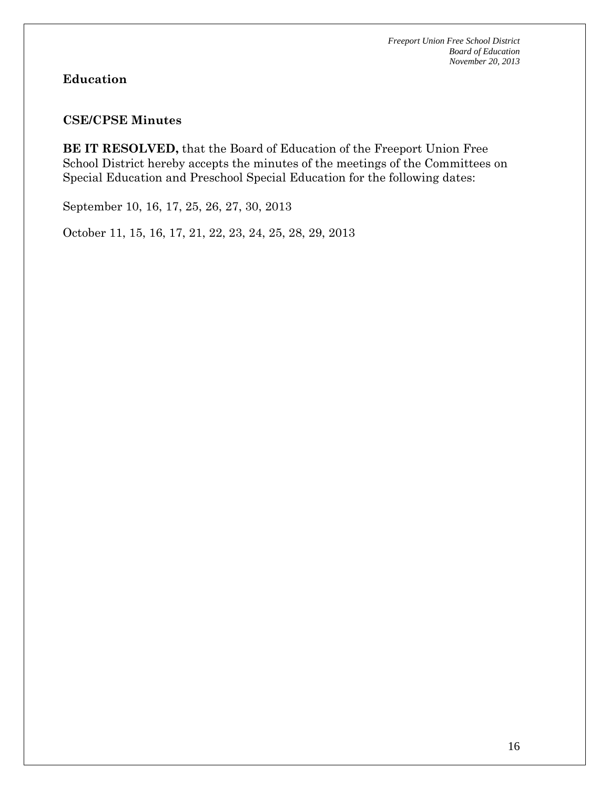# **Education**

#### **CSE/CPSE Minutes**

**BE IT RESOLVED,** that the Board of Education of the Freeport Union Free School District hereby accepts the minutes of the meetings of the Committees on Special Education and Preschool Special Education for the following dates:

September 10, 16, 17, 25, 26, 27, 30, 2013

October 11, 15, 16, 17, 21, 22, 23, 24, 25, 28, 29, 2013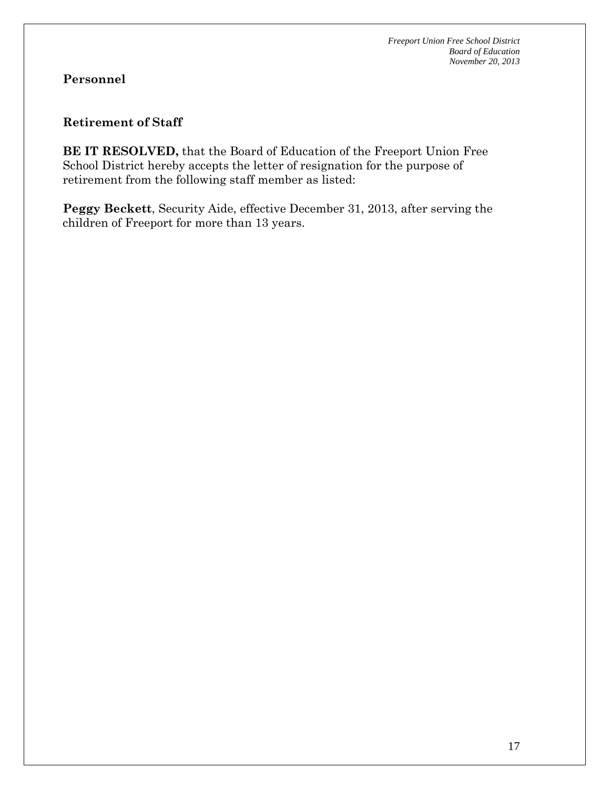#### **Retirement of Staff**

**BE IT RESOLVED,** that the Board of Education of the Freeport Union Free School District hereby accepts the letter of resignation for the purpose of retirement from the following staff member as listed:

**Peggy Beckett**, Security Aide, effective December 31, 2013, after serving the children of Freeport for more than 13 years.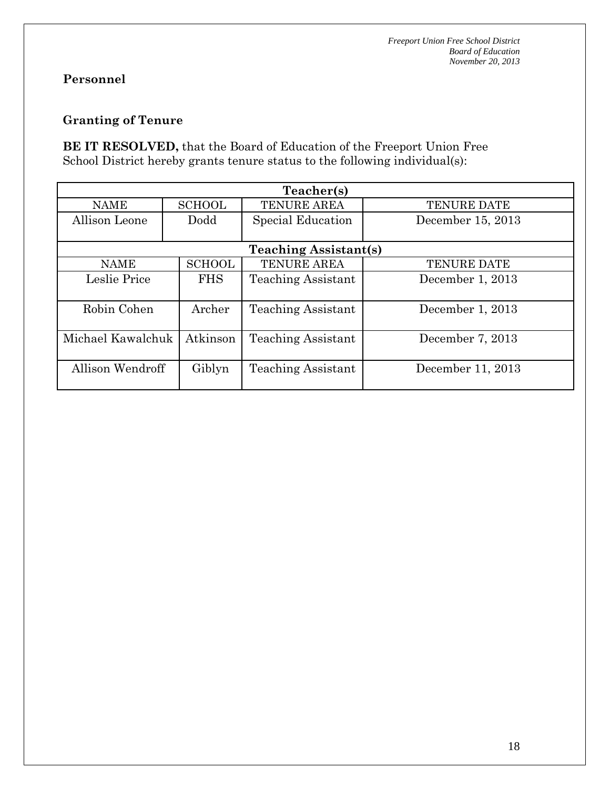# **Granting of Tenure**

**BE IT RESOLVED,** that the Board of Education of the Freeport Union Free School District hereby grants tenure status to the following individual(s):

| Teacher(s)        |               |                              |                    |  |  |
|-------------------|---------------|------------------------------|--------------------|--|--|
| <b>NAME</b>       | <b>SCHOOL</b> | TENURE AREA                  | <b>TENURE DATE</b> |  |  |
| Allison Leone     | Dodd          | Special Education            | December 15, 2013  |  |  |
|                   |               |                              |                    |  |  |
|                   |               | <b>Teaching Assistant(s)</b> |                    |  |  |
| <b>NAME</b>       | <b>SCHOOL</b> | <b>TENURE AREA</b>           | <b>TENURE DATE</b> |  |  |
| Leslie Price      | <b>FHS</b>    | <b>Teaching Assistant</b>    | December 1, 2013   |  |  |
|                   |               |                              |                    |  |  |
| Robin Cohen       | Archer        | <b>Teaching Assistant</b>    | December 1, 2013   |  |  |
|                   |               |                              |                    |  |  |
| Michael Kawalchuk | Atkinson      | <b>Teaching Assistant</b>    | December 7, 2013   |  |  |
|                   |               |                              |                    |  |  |
| Allison Wendroff  | Giblyn        | <b>Teaching Assistant</b>    | December 11, 2013  |  |  |
|                   |               |                              |                    |  |  |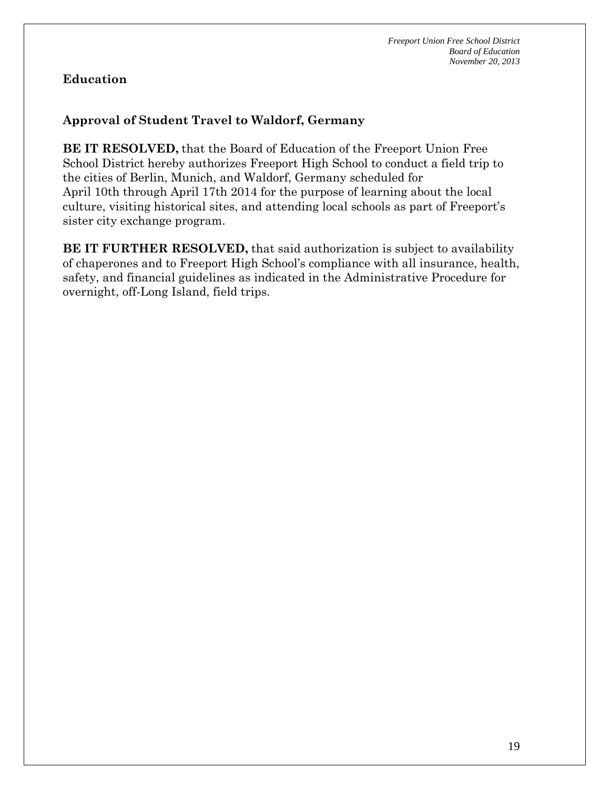# **Education**

# **Approval of Student Travel to Waldorf, Germany**

**BE IT RESOLVED,** that the Board of Education of the Freeport Union Free School District hereby authorizes Freeport High School to conduct a field trip to the cities of Berlin, Munich, and Waldorf, Germany scheduled for April 10th through April 17th 2014 for the purpose of learning about the local culture, visiting historical sites, and attending local schools as part of Freeport's sister city exchange program.

**BE IT FURTHER RESOLVED,** that said authorization is subject to availability of chaperones and to Freeport High School's compliance with all insurance, health, safety, and financial guidelines as indicated in the Administrative Procedure for overnight, off-Long Island, field trips.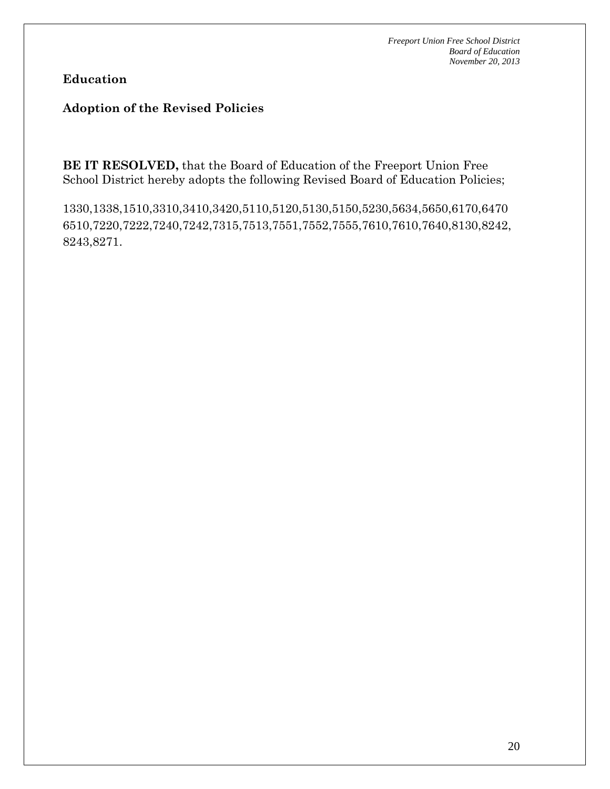**Education**

#### **Adoption of the Revised Policies**

**BE IT RESOLVED,** that the Board of Education of the Freeport Union Free School District hereby adopts the following Revised Board of Education Policies;

1330,1338,1510,3310,3410,3420,5110,5120,5130,5150,5230,5634,5650,6170,6470 6510,7220,7222,7240,7242,7315,7513,7551,7552,7555,7610,7610,7640,8130,8242, 8243,8271.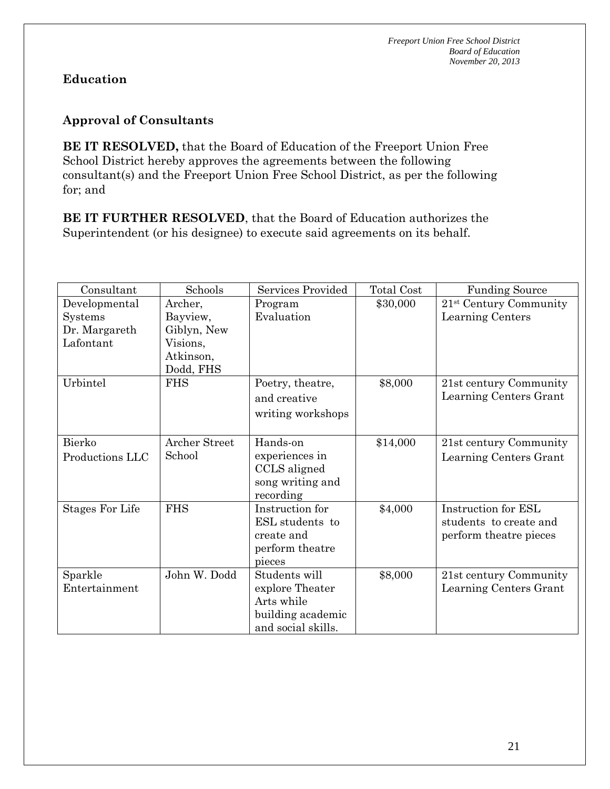# **Education**

### **Approval of Consultants**

**BE IT RESOLVED,** that the Board of Education of the Freeport Union Free School District hereby approves the agreements between the following consultant(s) and the Freeport Union Free School District, as per the following for; and

**BE IT FURTHER RESOLVED**, that the Board of Education authorizes the Superintendent (or his designee) to execute said agreements on its behalf.

| Consultant                                             | Schools                                                                  | Services Provided                                                                         | <b>Total Cost</b> | <b>Funding Source</b>                                                   |
|--------------------------------------------------------|--------------------------------------------------------------------------|-------------------------------------------------------------------------------------------|-------------------|-------------------------------------------------------------------------|
| Developmental<br>Systems<br>Dr. Margareth<br>Lafontant | Archer,<br>Bayview,<br>Giblyn, New<br>Visions,<br>Atkinson,<br>Dodd, FHS | Program<br>Evaluation                                                                     | \$30,000          | 21 <sup>st</sup> Century Community<br>Learning Centers                  |
| Urbintel                                               | <b>FHS</b>                                                               | Poetry, theatre,<br>and creative<br>writing workshops                                     | \$8,000           | 21st century Community<br>Learning Centers Grant                        |
| Bierko<br>Productions LLC                              | <b>Archer Street</b><br>School                                           | Hands-on<br>experiences in<br>CCLS aligned<br>song writing and<br>recording               | \$14,000          | 21st century Community<br>Learning Centers Grant                        |
| Stages For Life                                        | <b>FHS</b>                                                               | Instruction for<br>ESL students to<br>create and<br>perform theatre<br>pieces             | \$4,000           | Instruction for ESL<br>students to create and<br>perform theatre pieces |
| Sparkle<br>Entertainment                               | John W. Dodd                                                             | Students will<br>explore Theater<br>Arts while<br>building academic<br>and social skills. | \$8,000           | 21st century Community<br>Learning Centers Grant                        |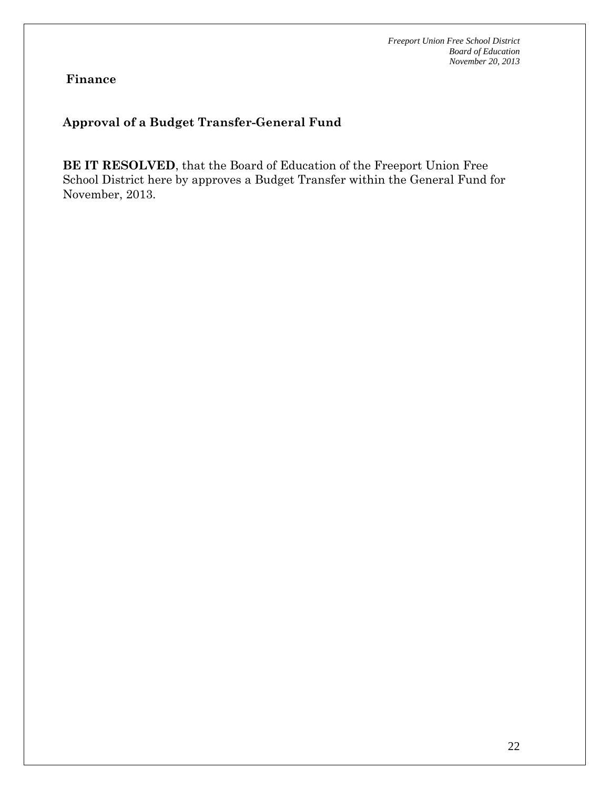**Finance**

# **Approval of a Budget Transfer-General Fund**

**BE IT RESOLVED**, that the Board of Education of the Freeport Union Free School District here by approves a Budget Transfer within the General Fund for November, 2013.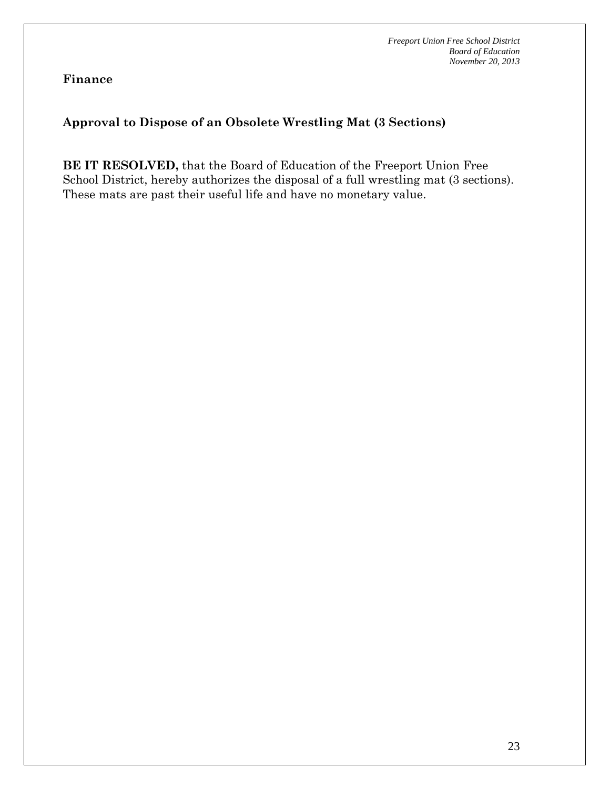**Finance**

# **Approval to Dispose of an Obsolete Wrestling Mat (3 Sections)**

**BE IT RESOLVED,** that the Board of Education of the Freeport Union Free School District, hereby authorizes the disposal of a full wrestling mat (3 sections). These mats are past their useful life and have no monetary value.